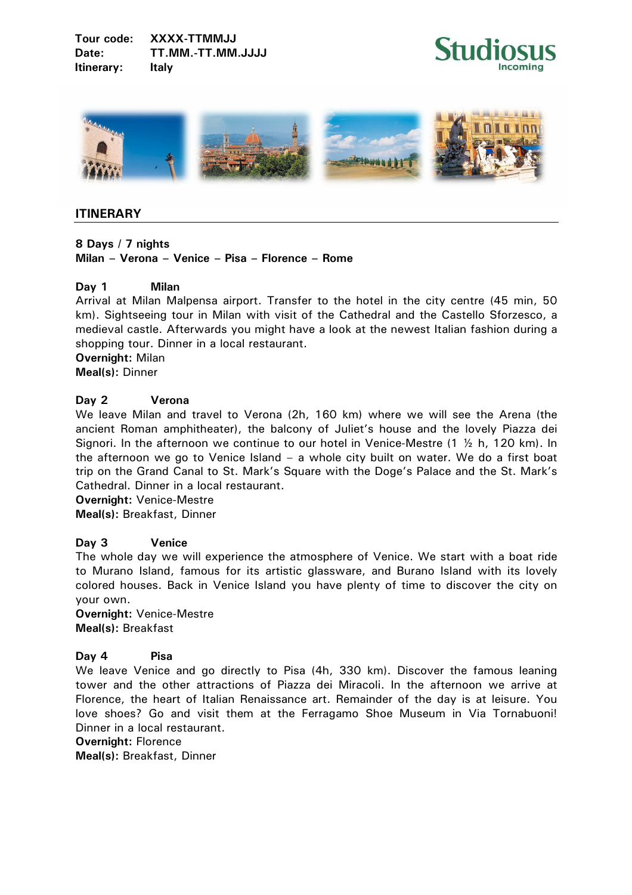**Tour code: XXXX-TTMMJJ**  Date: TT.MM.-TT.MM.JJJJ **Itinerary: Italy** 





# **ITINERARY**

**8 Days / 7 nights Milan – Verona – Venice – Pisa – Florence – Rome** 

## **Day 1 Milan**

Arrival at Milan Malpensa airport. Transfer to the hotel in the city centre (45 min, 50 km). Sightseeing tour in Milan with visit of the Cathedral and the Castello Sforzesco, a medieval castle. Afterwards you might have a look at the newest Italian fashion during a shopping tour. Dinner in a local restaurant.

**Overnight:** Milan **Meal(s):** Dinner

## **Day 2 Verona**

We leave Milan and travel to Verona (2h, 160 km) where we will see the Arena (the ancient Roman amphitheater), the balcony of Juliet's house and the lovely Piazza dei Signori. In the afternoon we continue to our hotel in Venice-Mestre  $(1 \times h, 120 km)$ . In the afternoon we go to Venice Island – a whole city built on water. We do a first boat trip on the Grand Canal to St. Mark's Square with the Doge's Palace and the St. Mark's Cathedral. Dinner in a local restaurant.

**Overnight:** Venice-Mestre **Meal(s):** Breakfast, Dinner

## **Day 3 Venice**

The whole day we will experience the atmosphere of Venice. We start with a boat ride to Murano Island, famous for its artistic glassware, and Burano Island with its lovely colored houses. Back in Venice Island you have plenty of time to discover the city on your own.

**Overnight:** Venice-Mestre **Meal(s):** Breakfast

## **Day 4 Pisa**

We leave Venice and go directly to Pisa (4h, 330 km). Discover the famous leaning tower and the other attractions of Piazza dei Miracoli. In the afternoon we arrive at Florence, the heart of Italian Renaissance art. Remainder of the day is at leisure. You love shoes? Go and visit them at the Ferragamo Shoe Museum in Via Tornabuoni! Dinner in a local restaurant.

**Overnight:** Florence

**Meal(s):** Breakfast, Dinner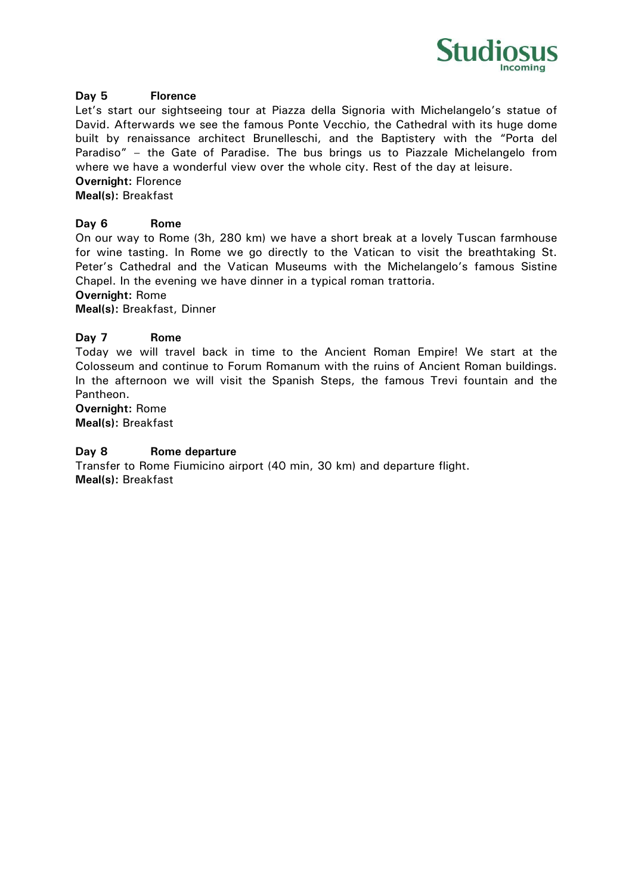

## **Day 5 Florence**

Let's start our sightseeing tour at Piazza della Signoria with Michelangelo's statue of David. Afterwards we see the famous Ponte Vecchio, the Cathedral with its huge dome built by renaissance architect Brunelleschi, and the Baptistery with the "Porta del Paradiso" – the Gate of Paradise. The bus brings us to Piazzale Michelangelo from where we have a wonderful view over the whole city. Rest of the day at leisure.

# **Overnight:** Florence

**Meal(s):** Breakfast

## **Day 6 Rome**

On our way to Rome (3h, 280 km) we have a short break at a lovely Tuscan farmhouse for wine tasting. In Rome we go directly to the Vatican to visit the breathtaking St. Peter's Cathedral and the Vatican Museums with the Michelangelo's famous Sistine Chapel. In the evening we have dinner in a typical roman trattoria.

**Overnight:** Rome

**Meal(s):** Breakfast, Dinner

## **Day 7 Rome**

Today we will travel back in time to the Ancient Roman Empire! We start at the Colosseum and continue to Forum Romanum with the ruins of Ancient Roman buildings. In the afternoon we will visit the Spanish Steps, the famous Trevi fountain and the Pantheon.

**Overnight:** Rome **Meal(s):** Breakfast

## **Day 8 Rome departure**

Transfer to Rome Fiumicino airport (40 min, 30 km) and departure flight. **Meal(s):** Breakfast